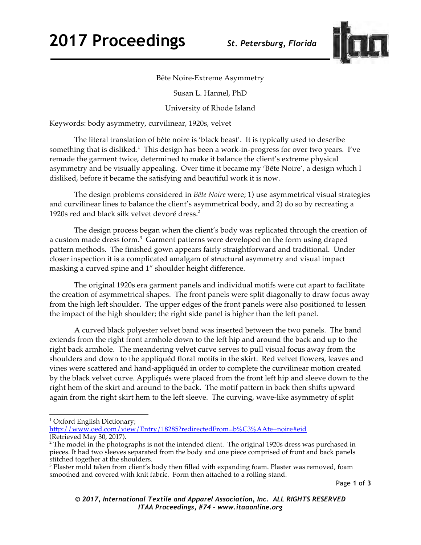

Bête Noire-Extreme Asymmetry

Susan L. Hannel, PhD

University of Rhode Island

Keywords: body asymmetry, curvilinear, 1920s, velvet

The literal translation of bête noire is 'black beast'. It is typically used to describe something that is disliked.<sup>1</sup> This design has been a work-in-progress for over two years. I've remade the garment twice, determined to make it balance the client's extreme physical asymmetry and be visually appealing. Over time it became my 'Bête Noire', a design which I disliked, before it became the satisfying and beautiful work it is now.

The design problems considered in *Bête Noire* were; 1) use asymmetrical visual strategies and curvilinear lines to balance the client's asymmetrical body, and 2) do so by recreating a 1920s red and black silk velvet devoré dress. 2

The design process began when the client's body was replicated through the creation of a custom made dress form.<sup>3</sup> Garment patterns were developed on the form using draped pattern methods. The finished gown appears fairly straightforward and traditional. Under closer inspection it is a complicated amalgam of structural asymmetry and visual impact masking a curved spine and 1" shoulder height difference.

The original 1920s era garment panels and individual motifs were cut apart to facilitate the creation of asymmetrical shapes. The front panels were split diagonally to draw focus away from the high left shoulder. The upper edges of the front panels were also positioned to lessen the impact of the high shoulder; the right side panel is higher than the left panel.

A curved black polyester velvet band was inserted between the two panels. The band extends from the right front armhole down to the left hip and around the back and up to the right back armhole. The meandering velvet curve serves to pull visual focus away from the shoulders and down to the appliquéd floral motifs in the skirt. Red velvet flowers, leaves and vines were scattered and hand-appliquéd in order to complete the curvilinear motion created by the black velvet curve. Appliqués were placed from the front left hip and sleeve down to the right hem of the skirt and around to the back. The motif pattern in back then shifts upward again from the right skirt hem to the left sleeve. The curving, wave-like asymmetry of split

 <sup>1</sup> Oxford English Dictionary;

http://www.oed.com/view/Entry/18285?redirectedFrom=b%C3%AAte+noire#eid (Retrieved May 30, 2017).

 $2^{2}$  The model in the photographs is not the intended client. The original 1920s dress was purchased in pieces. It had two sleeves separated from the body and one piece comprised of front and back panels

<sup>&</sup>lt;sup>3</sup> Plaster mold taken from client's body then filled with expanding foam. Plaster was removed, foam smoothed and covered with knit fabric. Form then attached to a rolling stand.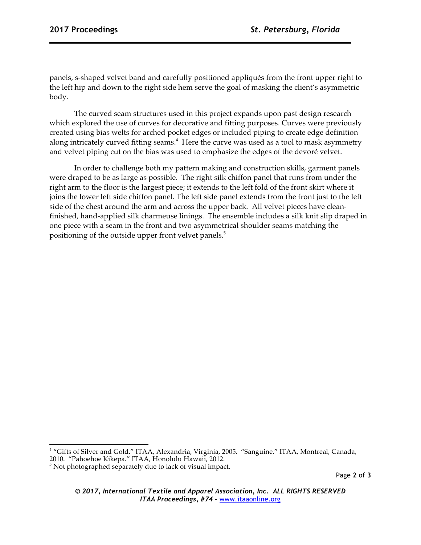panels, s-shaped velvet band and carefully positioned appliqués from the front upper right to the left hip and down to the right side hem serve the goal of masking the client's asymmetric body.

The curved seam structures used in this project expands upon past design research which explored the use of curves for decorative and fitting purposes. Curves were previously created using bias welts for arched pocket edges or included piping to create edge definition along intricately curved fitting seams.<sup>4</sup> Here the curve was used as a tool to mask asymmetry and velvet piping cut on the bias was used to emphasize the edges of the devoré velvet.

In order to challenge both my pattern making and construction skills, garment panels were draped to be as large as possible. The right silk chiffon panel that runs from under the right arm to the floor is the largest piece; it extends to the left fold of the front skirt where it joins the lower left side chiffon panel. The left side panel extends from the front just to the left side of the chest around the arm and across the upper back. All velvet pieces have cleanfinished, hand-applied silk charmeuse linings. The ensemble includes a silk knit slip draped in one piece with a seam in the front and two asymmetrical shoulder seams matching the positioning of the outside upper front velvet panels.<sup>5</sup>

 <sup>4</sup> "Gifts of Silver and Gold." ITAA, Alexandria, Virginia, 2005. "Sanguine." ITAA, Montreal, Canada,

<sup>2010. &</sup>quot;Pahoehoe Kikepa." ITAA, Honolulu Hawaii, 2012.<br><sup>5</sup> Not photographed separately due to lack of visual impact.